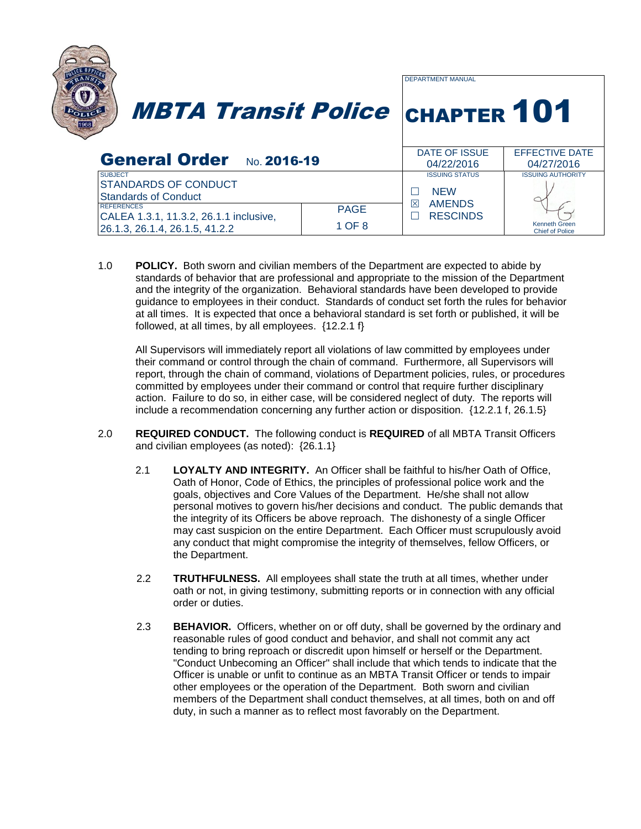

1.0 **POLICY.** Both sworn and civilian members of the Department are expected to abide by standards of behavior that are professional and appropriate to the mission of the Department and the integrity of the organization. Behavioral standards have been developed to provide guidance to employees in their conduct. Standards of conduct set forth the rules for behavior at all times. It is expected that once a behavioral standard is set forth or published, it will be followed, at all times, by all employees.  $\{12.2.1\}$ 

All Supervisors will immediately report all violations of law committed by employees under their command or control through the chain of command. Furthermore, all Supervisors will report, through the chain of command, violations of Department policies, rules, or procedures committed by employees under their command or control that require further disciplinary action. Failure to do so, in either case, will be considered neglect of duty. The reports will include a recommendation concerning any further action or disposition. {12.2.1 f, 26.1.5}

- 2.0 **REQUIRED CONDUCT.** The following conduct is **REQUIRED** of all MBTA Transit Officers and civilian employees (as noted): {26.1.1}
	- 2.1 **LOYALTY AND INTEGRITY.** An Officer shall be faithful to his/her Oath of Office, Oath of Honor, Code of Ethics, the principles of professional police work and the goals, objectives and Core Values of the Department. He/she shall not allow personal motives to govern his/her decisions and conduct. The public demands that the integrity of its Officers be above reproach. The dishonesty of a single Officer may cast suspicion on the entire Department. Each Officer must scrupulously avoid any conduct that might compromise the integrity of themselves, fellow Officers, or the Department.
	- 2.2 **TRUTHFULNESS.** All employees shall state the truth at all times, whether under oath or not, in giving testimony, submitting reports or in connection with any official order or duties.
	- 2.3 **BEHAVIOR.** Officers, whether on or off duty, shall be governed by the ordinary and reasonable rules of good conduct and behavior, and shall not commit any act tending to bring reproach or discredit upon himself or herself or the Department. "Conduct Unbecoming an Officer" shall include that which tends to indicate that the Officer is unable or unfit to continue as an MBTA Transit Officer or tends to impair other employees or the operation of the Department. Both sworn and civilian members of the Department shall conduct themselves, at all times, both on and off duty, in such a manner as to reflect most favorably on the Department.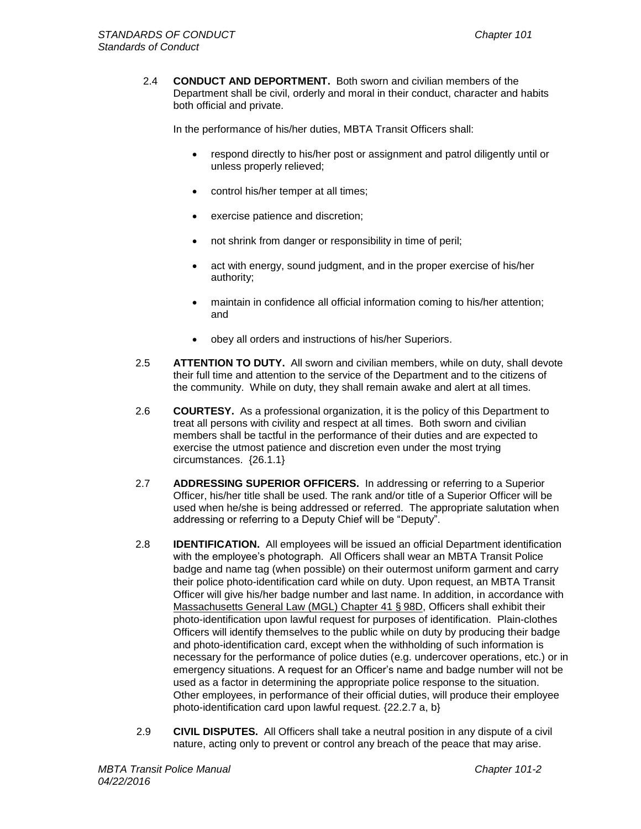2.4 **CONDUCT AND DEPORTMENT.** Both sworn and civilian members of the Department shall be civil, orderly and moral in their conduct, character and habits both official and private.

In the performance of his/her duties, MBTA Transit Officers shall:

- respond directly to his/her post or assignment and patrol diligently until or unless properly relieved;
- control his/her temper at all times;
- exercise patience and discretion;
- not shrink from danger or responsibility in time of peril;
- act with energy, sound judgment, and in the proper exercise of his/her authority;
- maintain in confidence all official information coming to his/her attention; and
- obey all orders and instructions of his/her Superiors.
- 2.5 **ATTENTION TO DUTY.** All sworn and civilian members, while on duty, shall devote their full time and attention to the service of the Department and to the citizens of the community. While on duty, they shall remain awake and alert at all times.
- 2.6 **COURTESY.** As a professional organization, it is the policy of this Department to treat all persons with civility and respect at all times. Both sworn and civilian members shall be tactful in the performance of their duties and are expected to exercise the utmost patience and discretion even under the most trying circumstances. {26.1.1}
- 2.7 **ADDRESSING SUPERIOR OFFICERS.** In addressing or referring to a Superior Officer, his/her title shall be used. The rank and/or title of a Superior Officer will be used when he/she is being addressed or referred. The appropriate salutation when addressing or referring to a Deputy Chief will be "Deputy".
- 2.8 **IDENTIFICATION.** All employees will be issued an official Department identification with the employee's photograph. All Officers shall wear an MBTA Transit Police badge and name tag (when possible) on their outermost uniform garment and carry their police photo-identification card while on duty. Upon request, an MBTA Transit Officer will give his/her badge number and last name. In addition, in accordance with [Massachusetts General Law \(MGL\) Chapter 41](http://www.mass.gov/legis/laws/mgl/41-98d.htm) § 98D, Officers shall exhibit their photo-identification upon lawful request for purposes of identification. Plain-clothes Officers will identify themselves to the public while on duty by producing their badge and photo-identification card, except when the withholding of such information is necessary for the performance of police duties (e.g. undercover operations, etc.) or in emergency situations. A request for an Officer's name and badge number will not be used as a factor in determining the appropriate police response to the situation. Other employees, in performance of their official duties, will produce their employee photo-identification card upon lawful request. {22.2.7 a, b}
- 2.9 **CIVIL DISPUTES.** All Officers shall take a neutral position in any dispute of a civil nature, acting only to prevent or control any breach of the peace that may arise.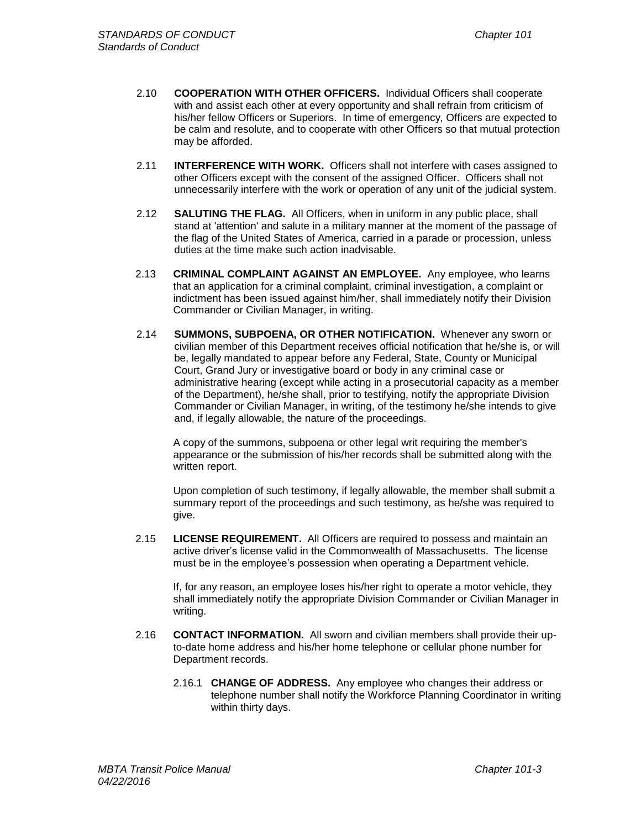- 2.10 **COOPERATION WITH OTHER OFFICERS.** Individual Officers shall cooperate with and assist each other at every opportunity and shall refrain from criticism of his/her fellow Officers or Superiors. In time of emergency, Officers are expected to be calm and resolute, and to cooperate with other Officers so that mutual protection may be afforded.
- 2.11 **INTERFERENCE WITH WORK.** Officers shall not interfere with cases assigned to other Officers except with the consent of the assigned Officer. Officers shall not unnecessarily interfere with the work or operation of any unit of the judicial system.
- 2.12 **SALUTING THE FLAG.** All Officers, when in uniform in any public place, shall stand at 'attention' and salute in a military manner at the moment of the passage of the flag of the United States of America, carried in a parade or procession, unless duties at the time make such action inadvisable.
- 2.13 **CRIMINAL COMPLAINT AGAINST AN EMPLOYEE.** Any employee, who learns that an application for a criminal complaint, criminal investigation, a complaint or indictment has been issued against him/her, shall immediately notify their Division Commander or Civilian Manager, in writing.
- 2.14 **SUMMONS, SUBPOENA, OR OTHER NOTIFICATION.** Whenever any sworn or civilian member of this Department receives official notification that he/she is, or will be, legally mandated to appear before any Federal, State, County or Municipal Court, Grand Jury or investigative board or body in any criminal case or administrative hearing (except while acting in a prosecutorial capacity as a member of the Department), he/she shall, prior to testifying, notify the appropriate Division Commander or Civilian Manager, in writing, of the testimony he/she intends to give and, if legally allowable, the nature of the proceedings.

A copy of the summons, subpoena or other legal writ requiring the member's appearance or the submission of his/her records shall be submitted along with the written report.

Upon completion of such testimony, if legally allowable, the member shall submit a summary report of the proceedings and such testimony, as he/she was required to give.

2.15 **LICENSE REQUIREMENT.** All Officers are required to possess and maintain an active driver's license valid in the Commonwealth of Massachusetts. The license must be in the employee's possession when operating a Department vehicle.

If, for any reason, an employee loses his/her right to operate a motor vehicle, they shall immediately notify the appropriate Division Commander or Civilian Manager in writing.

- 2.16 **CONTACT INFORMATION.** All sworn and civilian members shall provide their upto-date home address and his/her home telephone or cellular phone number for Department records.
	- 2.16.1 **CHANGE OF ADDRESS.** Any employee who changes their address or telephone number shall notify the Workforce Planning Coordinator in writing within thirty days.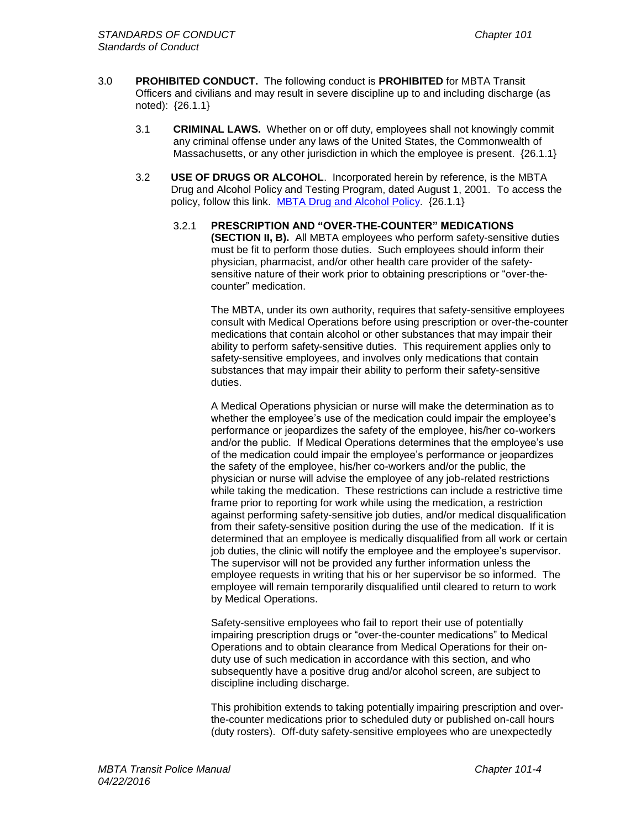- 3.0 **PROHIBITED CONDUCT.** The following conduct is **PROHIBITED** for MBTA Transit Officers and civilians and may result in severe discipline up to and including discharge (as noted): {26.1.1}
	- 3.1 **CRIMINAL LAWS.** Whether on or off duty, employees shall not knowingly commit any criminal offense under any laws of the United States, the Commonwealth of Massachusetts, or any other jurisdiction in which the employee is present. {26.1.1}
	- 3.2 **USE OF DRUGS OR ALCOHOL**. Incorporated herein by reference, is the MBTA Drug and Alcohol Policy and Testing Program, dated August 1, 2001. To access the policy, follow this link. [MBTA Drug and Alcohol Policy.](file://tpdfilesrv01/vol1/COMMON/Department%20Manual/MBTA%20Policies/Drug%20and%20Alcohol%20Policy_2001.pdf) {26.1.1}
		- 3.2.1 **PRESCRIPTION AND "OVER-THE-COUNTER" MEDICATIONS (SECTION II, B).** All MBTA employees who perform safety-sensitive duties must be fit to perform those duties. Such employees should inform their physician, pharmacist, and/or other health care provider of the safetysensitive nature of their work prior to obtaining prescriptions or "over-thecounter" medication.

The MBTA, under its own authority, requires that safety-sensitive employees consult with Medical Operations before using prescription or over-the-counter medications that contain alcohol or other substances that may impair their ability to perform safety-sensitive duties. This requirement applies only to safety-sensitive employees, and involves only medications that contain substances that may impair their ability to perform their safety-sensitive duties.

A Medical Operations physician or nurse will make the determination as to whether the employee's use of the medication could impair the employee's performance or jeopardizes the safety of the employee, his/her co-workers and/or the public. If Medical Operations determines that the employee's use of the medication could impair the employee's performance or jeopardizes the safety of the employee, his/her co-workers and/or the public, the physician or nurse will advise the employee of any job-related restrictions while taking the medication. These restrictions can include a restrictive time frame prior to reporting for work while using the medication, a restriction against performing safety-sensitive job duties, and/or medical disqualification from their safety-sensitive position during the use of the medication. If it is determined that an employee is medically disqualified from all work or certain job duties, the clinic will notify the employee and the employee's supervisor. The supervisor will not be provided any further information unless the employee requests in writing that his or her supervisor be so informed. The employee will remain temporarily disqualified until cleared to return to work by Medical Operations.

Safety-sensitive employees who fail to report their use of potentially impairing prescription drugs or "over-the-counter medications" to Medical Operations and to obtain clearance from Medical Operations for their onduty use of such medication in accordance with this section, and who subsequently have a positive drug and/or alcohol screen, are subject to discipline including discharge.

This prohibition extends to taking potentially impairing prescription and overthe-counter medications prior to scheduled duty or published on-call hours (duty rosters). Off-duty safety-sensitive employees who are unexpectedly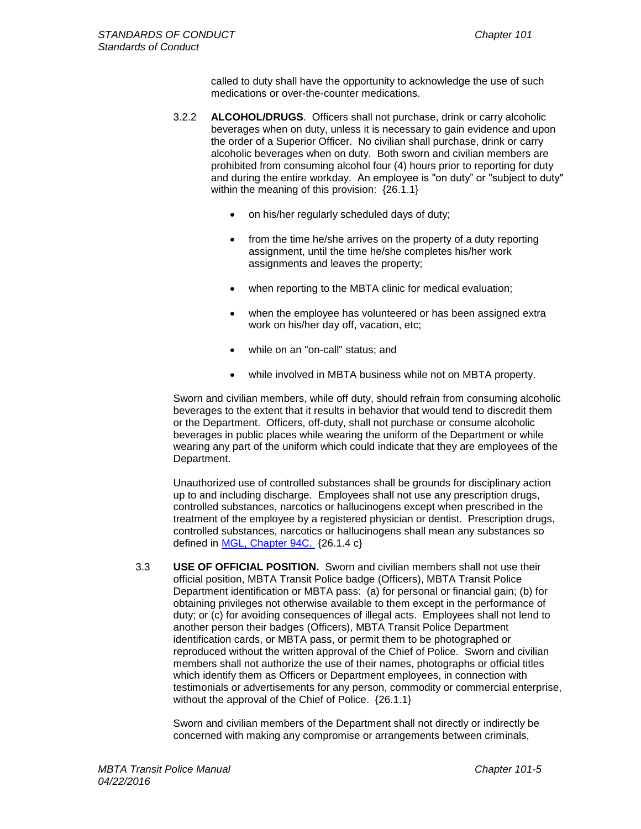called to duty shall have the opportunity to acknowledge the use of such medications or over-the-counter medications.

- 3.2.2 **ALCOHOL/DRUGS**. Officers shall not purchase, drink or carry alcoholic beverages when on duty, unless it is necessary to gain evidence and upon the order of a Superior Officer. No civilian shall purchase, drink or carry alcoholic beverages when on duty. Both sworn and civilian members are prohibited from consuming alcohol four (4) hours prior to reporting for duty and during the entire workday. An employee is "on duty" or "subject to duty" within the meaning of this provision: {26.1.1}
	- on his/her regularly scheduled days of duty;
	- from the time he/she arrives on the property of a duty reporting assignment, until the time he/she completes his/her work assignments and leaves the property;
	- when reporting to the MBTA clinic for medical evaluation;
	- when the employee has volunteered or has been assigned extra work on his/her day off, vacation, etc;
	- while on an "on-call" status; and
	- while involved in MBTA business while not on MBTA property.

Sworn and civilian members, while off duty, should refrain from consuming alcoholic beverages to the extent that it results in behavior that would tend to discredit them or the Department. Officers, off-duty, shall not purchase or consume alcoholic beverages in public places while wearing the uniform of the Department or while wearing any part of the uniform which could indicate that they are employees of the Department.

Unauthorized use of controlled substances shall be grounds for disciplinary action up to and including discharge. Employees shall not use any prescription drugs, controlled substances, narcotics or hallucinogens except when prescribed in the treatment of the employee by a registered physician or dentist. Prescription drugs, controlled substances, narcotics or hallucinogens shall mean any substances so defined in [MGL, Chapter 94C.](file:///C:/Documents%20and%20Settings/Department%20Manual/M_G_L_%20-%20Chapter%2094c,%20Section%201.htm) {26.1.4 c}

3.3 **USE OF OFFICIAL POSITION.** Sworn and civilian members shall not use their official position, MBTA Transit Police badge (Officers), MBTA Transit Police Department identification or MBTA pass: (a) for personal or financial gain; (b) for obtaining privileges not otherwise available to them except in the performance of duty; or (c) for avoiding consequences of illegal acts. Employees shall not lend to another person their badges (Officers), MBTA Transit Police Department identification cards, or MBTA pass, or permit them to be photographed or reproduced without the written approval of the Chief of Police. Sworn and civilian members shall not authorize the use of their names, photographs or official titles which identify them as Officers or Department employees, in connection with testimonials or advertisements for any person, commodity or commercial enterprise, without the approval of the Chief of Police. {26.1.1}

Sworn and civilian members of the Department shall not directly or indirectly be concerned with making any compromise or arrangements between criminals,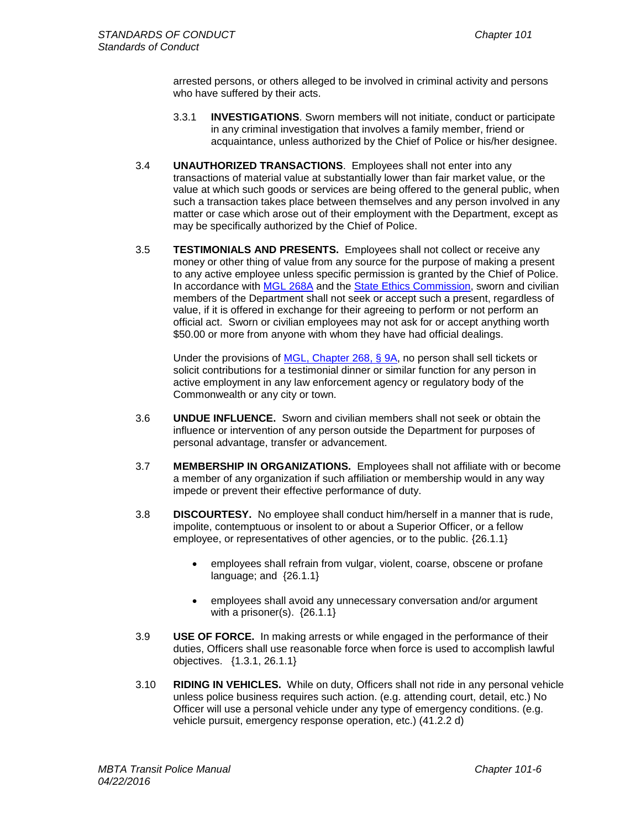arrested persons, or others alleged to be involved in criminal activity and persons who have suffered by their acts.

- 3.3.1 **INVESTIGATIONS**. Sworn members will not initiate, conduct or participate in any criminal investigation that involves a family member, friend or acquaintance, unless authorized by the Chief of Police or his/her designee.
- 3.4 **UNAUTHORIZED TRANSACTIONS**. Employees shall not enter into any transactions of material value at substantially lower than fair market value, or the value at which such goods or services are being offered to the general public, when such a transaction takes place between themselves and any person involved in any matter or case which arose out of their employment with the Department, except as may be specifically authorized by the Chief of Police.
- 3.5 **TESTIMONIALS AND PRESENTS.** Employees shall not collect or receive any money or other thing of value from any source for the purpose of making a present to any active employee unless specific permission is granted by the Chief of Police. In accordance with [MGL 268A](http://www.malegislature.gov/Laws/GeneralLaws/PartIV/TitleI/Chapter268A) and the [State Ethics Commission,](http://www.mass.gov/ethics/) sworn and civilian members of the Department shall not seek or accept such a present, regardless of value, if it is offered in exchange for their agreeing to perform or not perform an official act. Sworn or civilian employees may not ask for or accept anything worth \$50.00 or more from anyone with whom they have had official dealings.

Under the provisions of [MGL, Chapter 268, §](http://www.malegislature.gov/Laws/GeneralLaws/PartIV/TitleI/Chapter268/Section9A) 9A, no person shall sell tickets or solicit contributions for a testimonial dinner or similar function for any person in active employment in any law enforcement agency or regulatory body of the Commonwealth or any city or town.

- 3.6 **UNDUE INFLUENCE.** Sworn and civilian members shall not seek or obtain the influence or intervention of any person outside the Department for purposes of personal advantage, transfer or advancement.
- 3.7 **MEMBERSHIP IN ORGANIZATIONS.** Employees shall not affiliate with or become a member of any organization if such affiliation or membership would in any way impede or prevent their effective performance of duty.
- 3.8 **DISCOURTESY.** No employee shall conduct him/herself in a manner that is rude, impolite, contemptuous or insolent to or about a Superior Officer, or a fellow employee, or representatives of other agencies, or to the public. {26.1.1}
	- employees shall refrain from vulgar, violent, coarse, obscene or profane language; and {26.1.1}
	- employees shall avoid any unnecessary conversation and/or argument with a prisoner(s).  ${26.1.1}$
- 3.9 **USE OF FORCE.** In making arrests or while engaged in the performance of their duties, Officers shall use reasonable force when force is used to accomplish lawful objectives. {1.3.1, 26.1.1}
- 3.10 **RIDING IN VEHICLES.** While on duty, Officers shall not ride in any personal vehicle unless police business requires such action. (e.g. attending court, detail, etc.) No Officer will use a personal vehicle under any type of emergency conditions. (e.g. vehicle pursuit, emergency response operation, etc.) (41.2.2 d)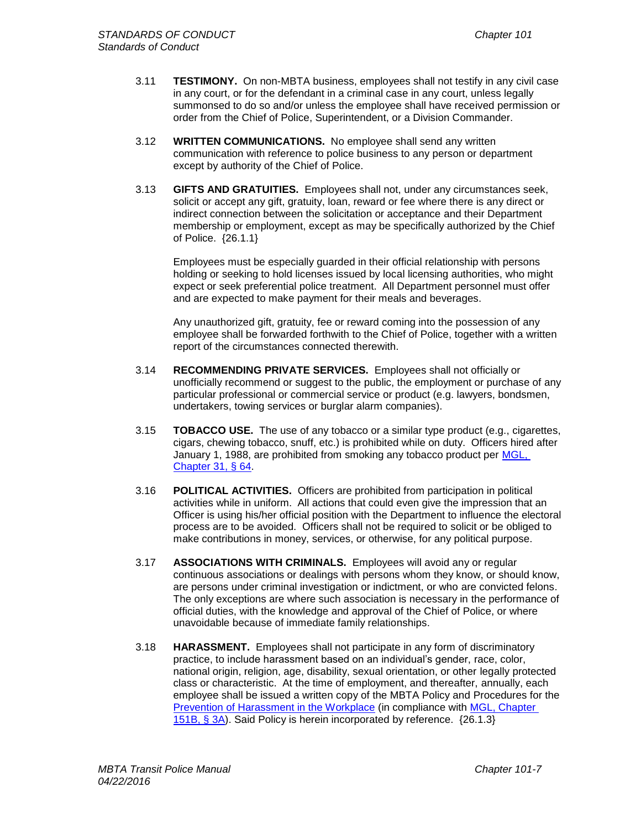- 3.11 **TESTIMONY.** On non-MBTA business, employees shall not testify in any civil case in any court, or for the defendant in a criminal case in any court, unless legally summonsed to do so and/or unless the employee shall have received permission or order from the Chief of Police, Superintendent, or a Division Commander.
- 3.12 **WRITTEN COMMUNICATIONS.** No employee shall send any written communication with reference to police business to any person or department except by authority of the Chief of Police.
- 3.13 **GIFTS AND GRATUITIES.** Employees shall not, under any circumstances seek, solicit or accept any gift, gratuity, loan, reward or fee where there is any direct or indirect connection between the solicitation or acceptance and their Department membership or employment, except as may be specifically authorized by the Chief of Police. {26.1.1}

Employees must be especially guarded in their official relationship with persons holding or seeking to hold licenses issued by local licensing authorities, who might expect or seek preferential police treatment. All Department personnel must offer and are expected to make payment for their meals and beverages.

Any unauthorized gift, gratuity, fee or reward coming into the possession of any employee shall be forwarded forthwith to the Chief of Police, together with a written report of the circumstances connected therewith.

- 3.14 **RECOMMENDING PRIVATE SERVICES.** Employees shall not officially or unofficially recommend or suggest to the public, the employment or purchase of any particular professional or commercial service or product (e.g. lawyers, bondsmen, undertakers, towing services or burglar alarm companies).
- 3.15 **TOBACCO USE.** The use of any tobacco or a similar type product (e.g., cigarettes, cigars, chewing tobacco, snuff, etc.) is prohibited while on duty. Officers hired after January 1, 1988, are prohibited from smoking any tobacco product per [MGL,](http://www.malegislature.gov/Laws/GeneralLaws/PartI/TitleIV/Chapter31/Section64)  [Chapter 31, §](http://www.malegislature.gov/Laws/GeneralLaws/PartI/TitleIV/Chapter31/Section64) 64.
- 3.16 **POLITICAL ACTIVITIES.** Officers are prohibited from participation in political activities while in uniform. All actions that could even give the impression that an Officer is using his/her official position with the Department to influence the electoral process are to be avoided. Officers shall not be required to solicit or be obliged to make contributions in money, services, or otherwise, for any political purpose.
- 3.17 **ASSOCIATIONS WITH CRIMINALS.** Employees will avoid any or regular continuous associations or dealings with persons whom they know, or should know, are persons under criminal investigation or indictment, or who are convicted felons. The only exceptions are where such association is necessary in the performance of official duties, with the knowledge and approval of the Chief of Police, or where unavoidable because of immediate family relationships.
- 3.18 **HARASSMENT.** Employees shall not participate in any form of discriminatory practice, to include harassment based on an individual's gender, race, color, national origin, religion, age, disability, sexual orientation, or other legally protected class or characteristic. At the time of employment, and thereafter, annually, each employee shall be issued a written copy of the MBTA Policy and Procedures for the [Prevention of Harassment in the Workplace](file://tpdfilesrv01/vol1/COMMON/Department%20Manual/MBTA%20Policies/Prevention%20of%20Discrimination,%20Harassment,%20&%20Retaliation%20Policy%5b1%5d.pdf) (in compliance with [MGL, Chapter](http://www.malegislature.gov/Laws/GeneralLaws/PartI/TitleXXI/Chapter151b/Section3a)  [151B, §](http://www.malegislature.gov/Laws/GeneralLaws/PartI/TitleXXI/Chapter151b/Section3a) 3A). Said Policy is herein incorporated by reference. {26.1.3}